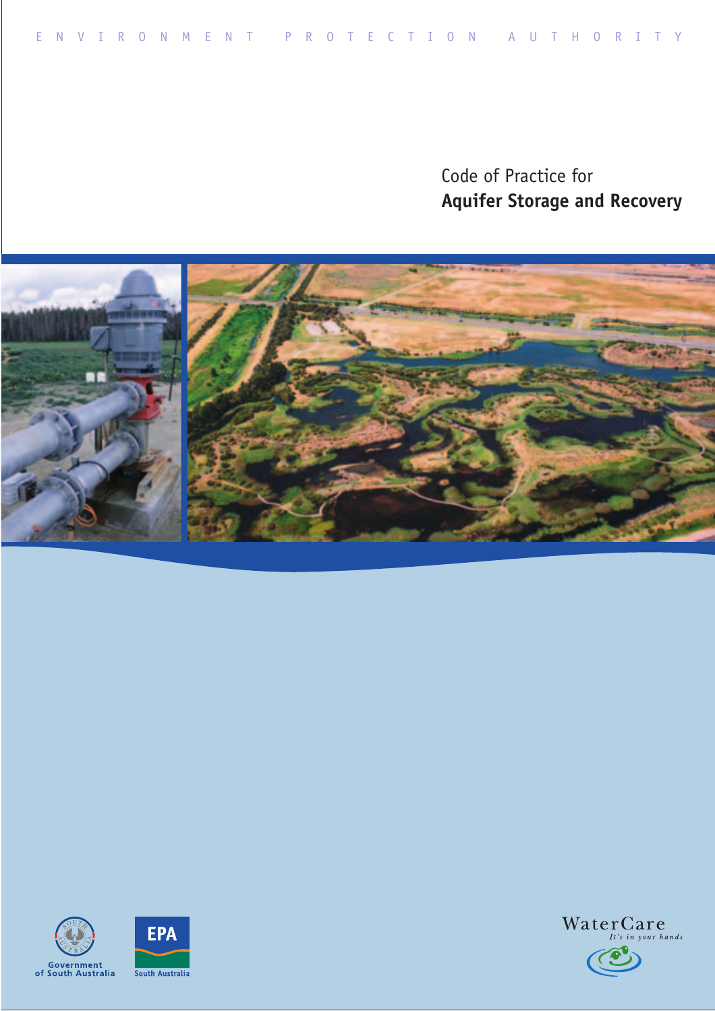Code of Practice for **Aquifer Storage and Recovery** 







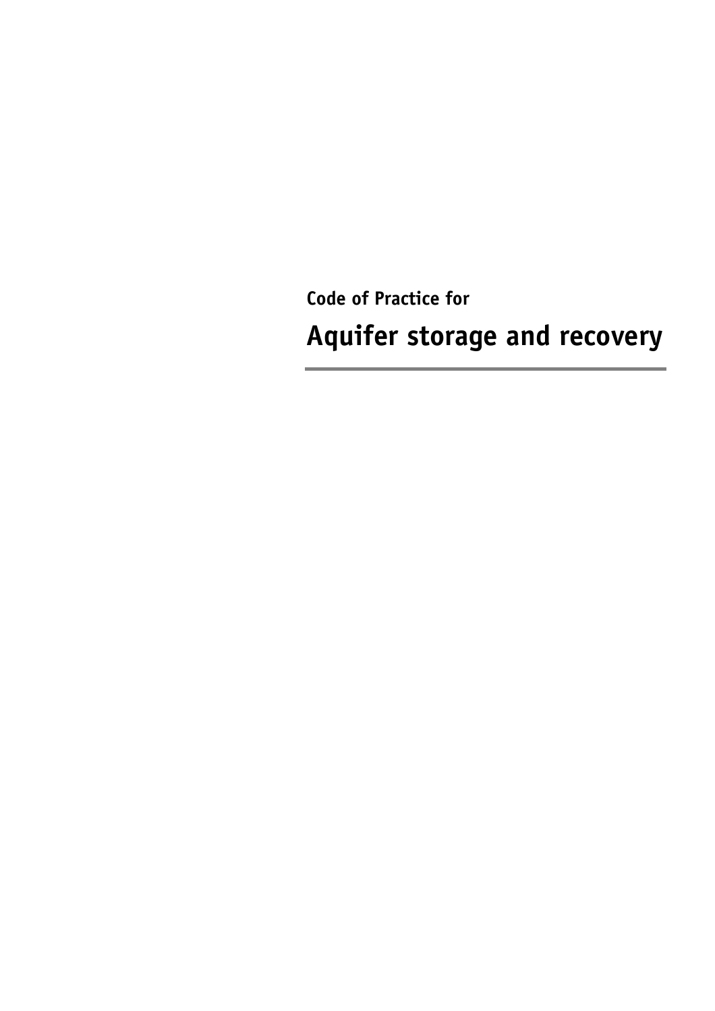**Code of Practice for Aquifer storage and recovery**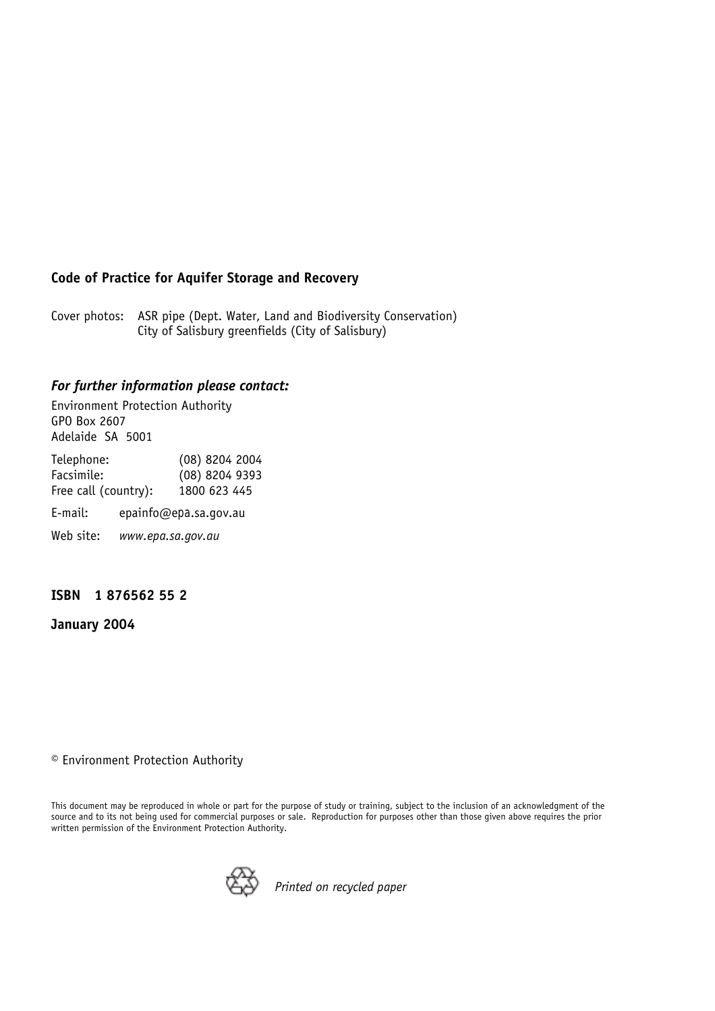#### **Code of Practice for Aquifer Storage and Recovery**

Cover photos: ASR pipe (Dept. Water, Land and Biodiversity Conservation) City of Salisbury greenfields (City of Salisbury)

#### *For further information please contact:*

Environment Protection Authority GPO Box 2607 Adelaide SA 5001

| Telephone:<br>Facsimile: |                   | (08) 8204 2004<br>(08) 8204 9393 |
|--------------------------|-------------------|----------------------------------|
| Free call (country):     |                   | 1800 623 445                     |
| E-mail:                  |                   | epainfo@epa.sa.gov.au            |
| Web site:                | www.epa.sa.gov.au |                                  |

#### **ISBN 1 876562 55 2**

**January 2004** 

<sup>©</sup> Environment Protection Authority

This document may be reproduced in whole or part for the purpose of study or training, subject to the inclusion of an acknowledgment of the source and to its not being used for commercial purposes or sale. Reproduction for purposes other than those given above requires the prior written permission of the Environment Protection Authority.



*Printed on recycled paper*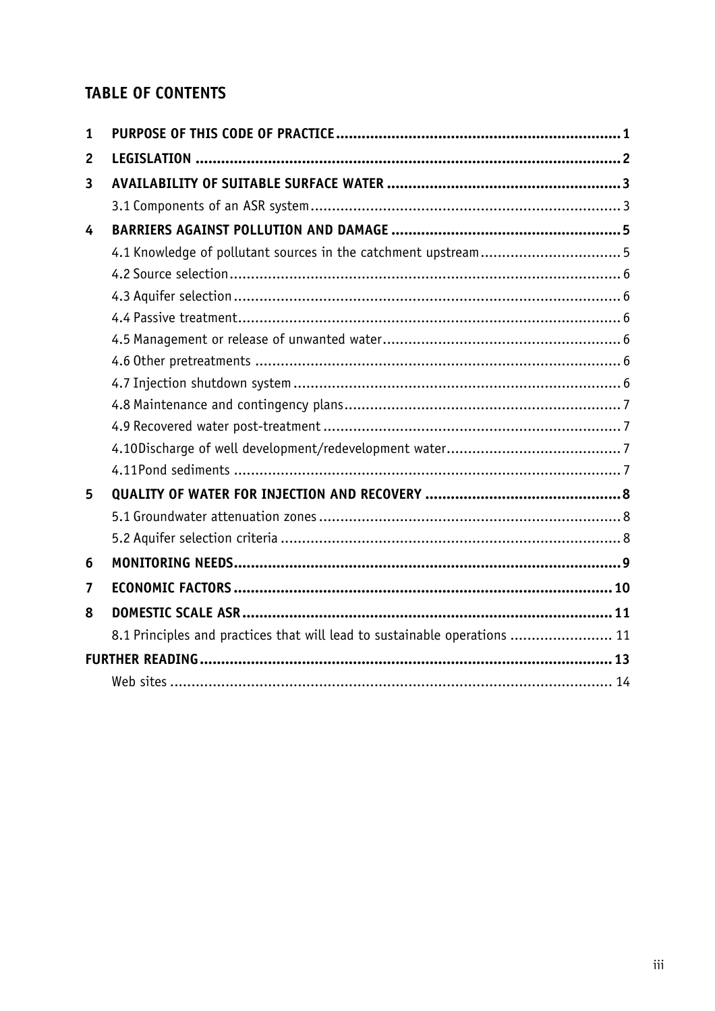# **TABLE OF CONTENTS**

| 1              |                                                                           |  |
|----------------|---------------------------------------------------------------------------|--|
| $\overline{2}$ |                                                                           |  |
| 3              |                                                                           |  |
|                |                                                                           |  |
| 4              |                                                                           |  |
|                | 4.1 Knowledge of pollutant sources in the catchment upstream5             |  |
|                |                                                                           |  |
|                |                                                                           |  |
|                |                                                                           |  |
|                |                                                                           |  |
|                |                                                                           |  |
|                |                                                                           |  |
|                |                                                                           |  |
|                |                                                                           |  |
|                |                                                                           |  |
|                |                                                                           |  |
| 5              |                                                                           |  |
|                |                                                                           |  |
|                |                                                                           |  |
| 6              |                                                                           |  |
| 7              |                                                                           |  |
| 8              |                                                                           |  |
|                | 8.1 Principles and practices that will lead to sustainable operations  11 |  |
|                |                                                                           |  |
|                |                                                                           |  |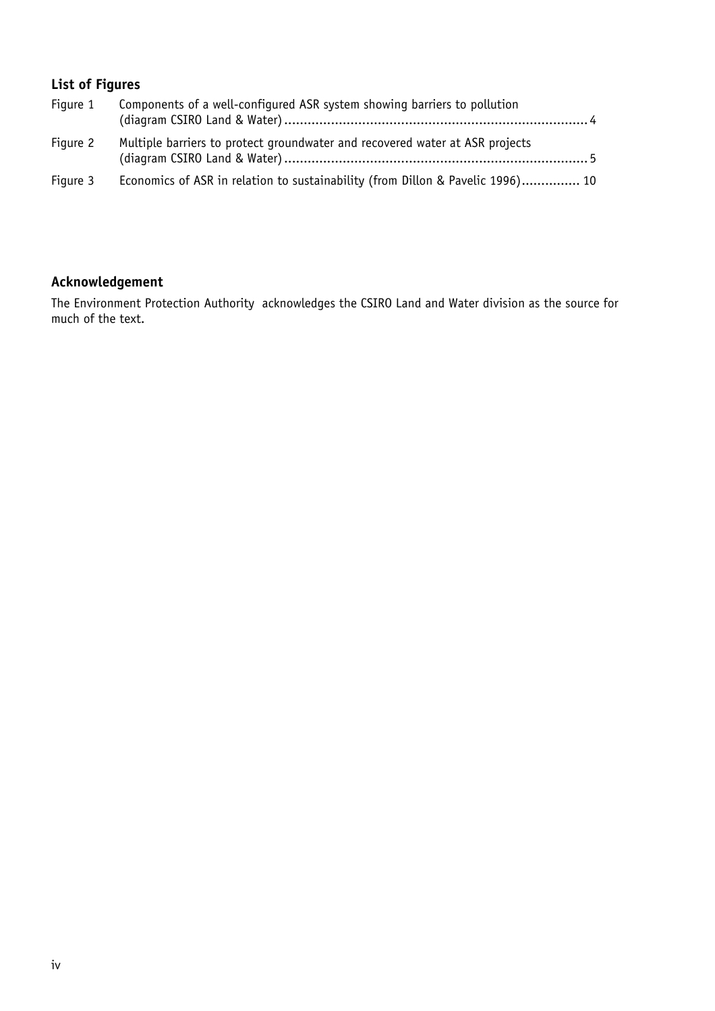### **List of Figures**

| Figure 1 | Components of a well-configured ASR system showing barriers to pollution       |
|----------|--------------------------------------------------------------------------------|
| Figure 2 | Multiple barriers to protect groundwater and recovered water at ASR projects   |
| Figure 3 | Economics of ASR in relation to sustainability (from Dillon & Pavelic 1996) 10 |

#### **Acknowledgement**

The Environment Protection Authority acknowledges the CSIRO Land and Water division as the source for much of the text.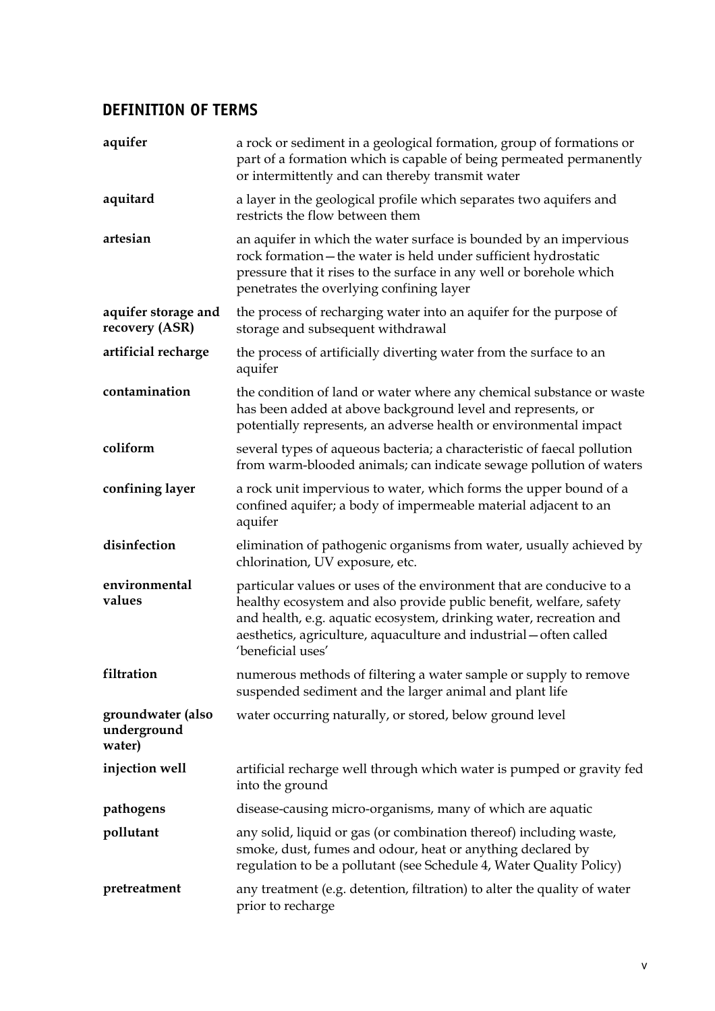#### **DEFINITION OF TERMS**

| aquifer                                    | a rock or sediment in a geological formation, group of formations or<br>part of a formation which is capable of being permeated permanently<br>or intermittently and can thereby transmit water                                                                                                             |
|--------------------------------------------|-------------------------------------------------------------------------------------------------------------------------------------------------------------------------------------------------------------------------------------------------------------------------------------------------------------|
| aquitard                                   | a layer in the geological profile which separates two aquifers and<br>restricts the flow between them                                                                                                                                                                                                       |
| artesian                                   | an aquifer in which the water surface is bounded by an impervious<br>rock formation-the water is held under sufficient hydrostatic<br>pressure that it rises to the surface in any well or borehole which<br>penetrates the overlying confining layer                                                       |
| aquifer storage and<br>recovery (ASR)      | the process of recharging water into an aquifer for the purpose of<br>storage and subsequent withdrawal                                                                                                                                                                                                     |
| artificial recharge                        | the process of artificially diverting water from the surface to an<br>aquifer                                                                                                                                                                                                                               |
| contamination                              | the condition of land or water where any chemical substance or waste<br>has been added at above background level and represents, or<br>potentially represents, an adverse health or environmental impact                                                                                                    |
| coliform                                   | several types of aqueous bacteria; a characteristic of faecal pollution<br>from warm-blooded animals; can indicate sewage pollution of waters                                                                                                                                                               |
| confining layer                            | a rock unit impervious to water, which forms the upper bound of a<br>confined aquifer; a body of impermeable material adjacent to an<br>aquifer                                                                                                                                                             |
| disinfection                               | elimination of pathogenic organisms from water, usually achieved by<br>chlorination, UV exposure, etc.                                                                                                                                                                                                      |
| environmental<br>values                    | particular values or uses of the environment that are conducive to a<br>healthy ecosystem and also provide public benefit, welfare, safety<br>and health, e.g. aquatic ecosystem, drinking water, recreation and<br>aesthetics, agriculture, aquaculture and industrial - often called<br>'beneficial uses' |
| filtration                                 | numerous methods of filtering a water sample or supply to remove<br>suspended sediment and the larger animal and plant life                                                                                                                                                                                 |
| groundwater (also<br>underground<br>water) | water occurring naturally, or stored, below ground level                                                                                                                                                                                                                                                    |
| injection well                             | artificial recharge well through which water is pumped or gravity fed<br>into the ground                                                                                                                                                                                                                    |
| pathogens                                  | disease-causing micro-organisms, many of which are aquatic                                                                                                                                                                                                                                                  |
| pollutant                                  | any solid, liquid or gas (or combination thereof) including waste,<br>smoke, dust, fumes and odour, heat or anything declared by<br>regulation to be a pollutant (see Schedule 4, Water Quality Policy)                                                                                                     |
| pretreatment                               | any treatment (e.g. detention, filtration) to alter the quality of water<br>prior to recharge                                                                                                                                                                                                               |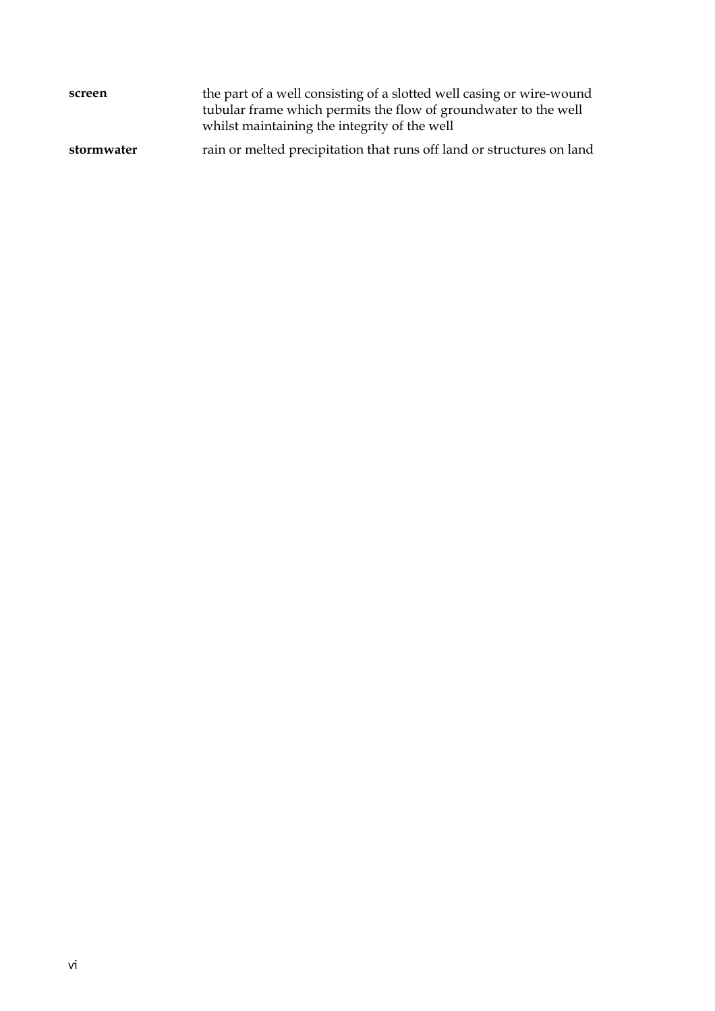| screen     | the part of a well consisting of a slotted well casing or wire-wound<br>tubular frame which permits the flow of groundwater to the well<br>whilst maintaining the integrity of the well |  |
|------------|-----------------------------------------------------------------------------------------------------------------------------------------------------------------------------------------|--|
| stormwater | rain or melted precipitation that runs off land or structures on land                                                                                                                   |  |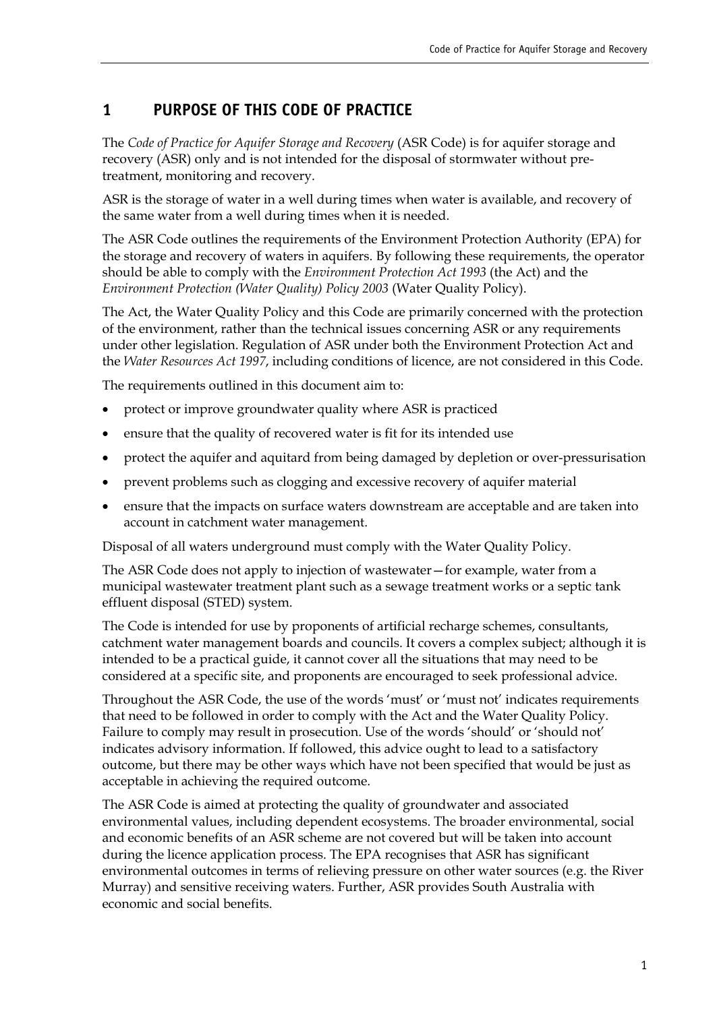#### **1 PURPOSE OF THIS CODE OF PRACTICE**

The *Code of Practice for Aquifer Storage and Recovery* (ASR Code) is for aquifer storage and recovery (ASR) only and is not intended for the disposal of stormwater without pretreatment, monitoring and recovery.

<span id="page-7-0"></span>ASR is the storage of water in a well during times when water is available, and recovery of the same water from a well during times when it is needed.

The ASR Code outlines the requirements of the Environment Protection Authority (EPA) for the storage and recovery of waters in aquifers. By following these requirements, the operator should be able to comply with the *Environment Protection Act 1993* (the Act) and the *Environment Protection (Water Quality) Policy 2003* (Water Quality Policy).

The Act, the Water Quality Policy and this Code are primarily concerned with the protection of the environment, rather than the technical issues concerning ASR or any requirements under other legislation. Regulation of ASR under both the Environment Protection Act and the *Water Resources Act 1997*, including conditions of licence, are not considered in this Code.

The requirements outlined in this document aim to:

- protect or improve groundwater quality where ASR is practiced
- ensure that the quality of recovered water is fit for its intended use
- protect the aquifer and aquitard from being damaged by depletion or over-pressurisation
- prevent problems such as clogging and excessive recovery of aquifer material
- ensure that the impacts on surface waters downstream are acceptable and are taken into account in catchment water management.

Disposal of all waters underground must comply with the Water Quality Policy.

The ASR Code does not apply to injection of wastewater – for example, water from a municipal wastewater treatment plant such as a sewage treatment works or a septic tank effluent disposal (STED) system.

The Code is intended for use by proponents of artificial recharge schemes, consultants, catchment water management boards and councils. It covers a complex subject; although it is intended to be a practical guide, it cannot cover all the situations that may need to be considered at a specific site, and proponents are encouraged to seek professional advice.

Throughout the ASR Code, the use of the words 'must' or 'must not' indicates requirements that need to be followed in order to comply with the Act and the Water Quality Policy. Failure to comply may result in prosecution. Use of the words 'should' or 'should not' indicates advisory information. If followed, this advice ought to lead to a satisfactory outcome, but there may be other ways which have not been specified that would be just as acceptable in achieving the required outcome.

The ASR Code is aimed at protecting the quality of groundwater and associated environmental values, including dependent ecosystems. The broader environmental, social and economic benefits of an ASR scheme are not covered but will be taken into account during the licence application process. The EPA recognises that ASR has significant environmental outcomes in terms of relieving pressure on other water sources (e.g. the River Murray) and sensitive receiving waters. Further, ASR provides South Australia with economic and social benefits.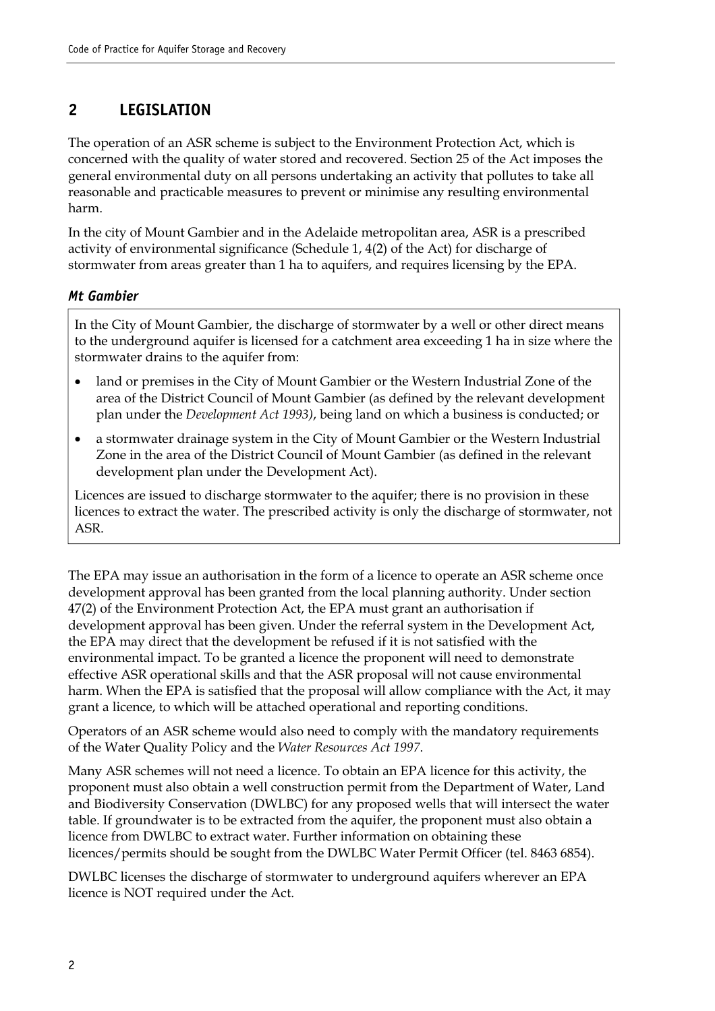#### <span id="page-8-0"></span>**2 LEGISLATION**

The operation of an ASR scheme is subject to the Environment Protection Act, which is concerned with the quality of water stored and recovered. Section 25 of the Act imposes the general environmental duty on all persons undertaking an activity that pollutes to take all reasonable and practicable measures to prevent or minimise any resulting environmental harm.

In the city of Mount Gambier and in the Adelaide metropolitan area, ASR is a prescribed activity of environmental significance (Schedule 1, 4(2) of the Act) for discharge of stormwater from areas greater than 1 ha to aquifers, and requires licensing by the EPA.

#### *Mt Gambier*

In the City of Mount Gambier, the discharge of stormwater by a well or other direct means to the underground aquifer is licensed for a catchment area exceeding 1 ha in size where the stormwater drains to the aquifer from:

- land or premises in the City of Mount Gambier or the Western Industrial Zone of the area of the District Council of Mount Gambier (as defined by the relevant development plan under the *Development Act 1993)*, being land on which a business is conducted; or
- a stormwater drainage system in the City of Mount Gambier or the Western Industrial Zone in the area of the District Council of Mount Gambier (as defined in the relevant development plan under the Development Act).

Licences are issued to discharge stormwater to the aquifer; there is no provision in these licences to extract the water. The prescribed activity is only the discharge of stormwater, not ASR.

The EPA may issue an authorisation in the form of a licence to operate an ASR scheme once development approval has been granted from the local planning authority. Under section 47(2) of the Environment Protection Act, the EPA must grant an authorisation if development approval has been given. Under the referral system in the Development Act, the EPA may direct that the development be refused if it is not satisfied with the environmental impact. To be granted a licence the proponent will need to demonstrate effective ASR operational skills and that the ASR proposal will not cause environmental harm. When the EPA is satisfied that the proposal will allow compliance with the Act, it may grant a licence, to which will be attached operational and reporting conditions.

Operators of an ASR scheme would also need to comply with the mandatory requirements of the Water Quality Policy and the *Water Resources Act 1997*.

Many ASR schemes will not need a licence. To obtain an EPA licence for this activity, the proponent must also obtain a well construction permit from the Department of Water, Land and Biodiversity Conservation (DWLBC) for any proposed wells that will intersect the water table. If groundwater is to be extracted from the aquifer, the proponent must also obtain a licence from DWLBC to extract water. Further information on obtaining these licences/permits should be sought from the DWLBC Water Permit Officer (tel. 8463 6854).

DWLBC licenses the discharge of stormwater to underground aquifers wherever an EPA licence is NOT required under the Act.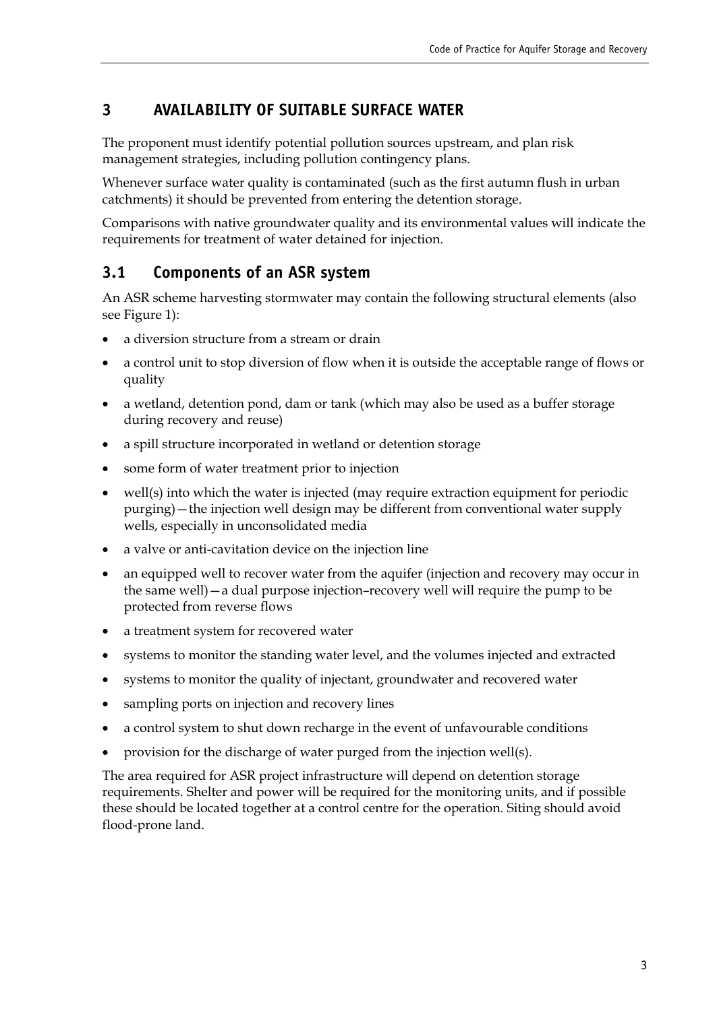### <span id="page-9-0"></span>**3 AVAILABILITY OF SUITABLE SURFACE WATER**

The proponent must identify potential pollution sources upstream, and plan risk management strategies, including pollution contingency plans.

Whenever surface water quality is contaminated (such as the first autumn flush in urban catchments) it should be prevented from entering the detention storage.

Comparisons with native groundwater quality and its environmental values will indicate the requirements for treatment of water detained for injection.

#### <span id="page-9-1"></span>**3.1 Components of an ASR system**

An ASR scheme harvesting stormwater may contain the following structural elements (also see Figure 1):

- a diversion structure from a stream or drain
- a control unit to stop diversion of flow when it is outside the acceptable range of flows or quality
- a wetland, detention pond, dam or tank (which may also be used as a buffer storage during recovery and reuse)
- a spill structure incorporated in wetland or detention storage
- some form of water treatment prior to injection
- well(s) into which the water is injected (may require extraction equipment for periodic purging) – the injection well design may be different from conventional water supply wells, especially in unconsolidated media
- a valve or anti-cavitation device on the injection line
- an equipped well to recover water from the aquifer (injection and recovery may occur in the same well) – a dual purpose injection-recovery well will require the pump to be protected from reverse flows
- a treatment system for recovered water
- systems to monitor the standing water level, and the volumes injected and extracted
- systems to monitor the quality of injectant, groundwater and recovered water
- sampling ports on injection and recovery lines
- a control system to shut down recharge in the event of unfavourable conditions
- provision for the discharge of water purged from the injection well(s).

The area required for ASR project infrastructure will depend on detention storage requirements. Shelter and power will be required for the monitoring units, and if possible these should be located together at a control centre for the operation. Siting should avoid flood-prone land.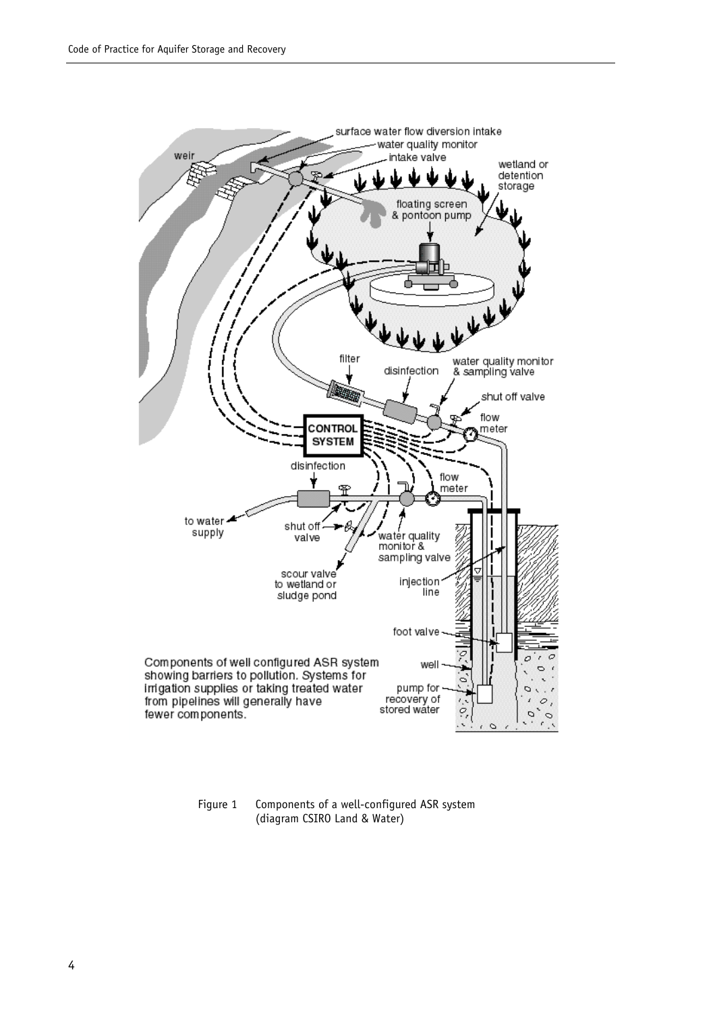

<span id="page-10-0"></span>Figure 1 Components of a well-configured ASR system (diagram CSIRO Land & Water)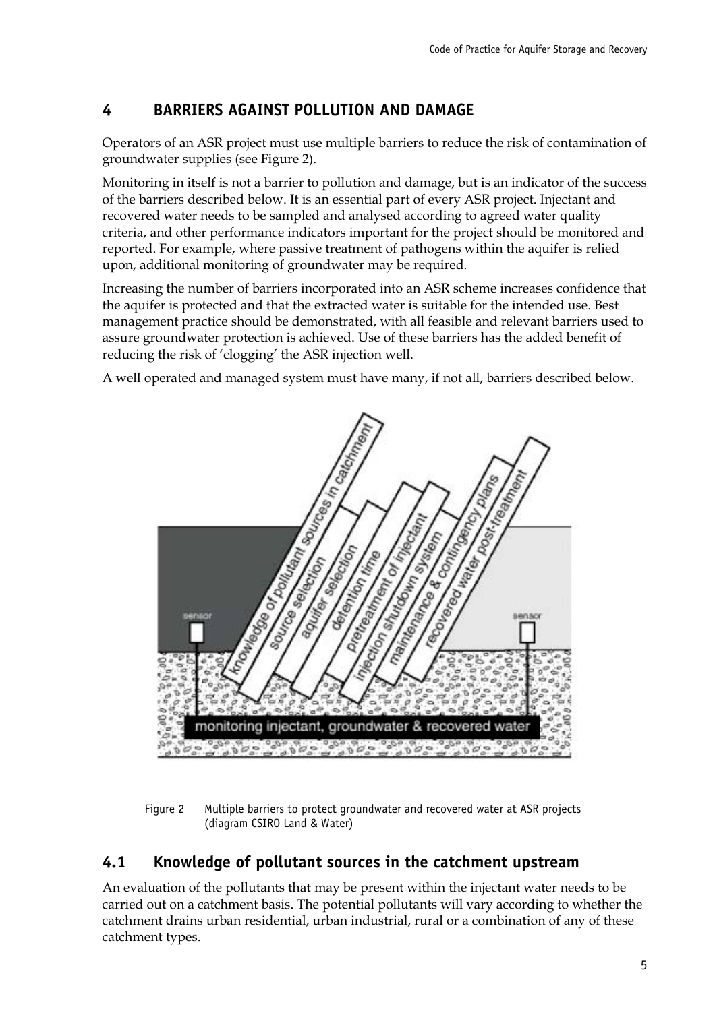#### <span id="page-11-0"></span>**4 BARRIERS AGAINST POLLUTION AND DAMAGE**

Operators of an ASR project must use multiple barriers to reduce the risk of contamination of groundwater supplies (see Figure 2).

Monitoring in itself is not a barrier to pollution and damage, but is an indicator of the success of the barriers described below. It is an essential part of every ASR project. Injectant and recovered water needs to be sampled and analysed according to agreed water quality criteria, and other performance indicators important for the project should be monitored and reported. For example, where passive treatment of pathogens within the aquifer is relied upon, additional monitoring of groundwater may be required.

Increasing the number of barriers incorporated into an ASR scheme increases confidence that the aquifer is protected and that the extracted water is suitable for the intended use. Best management practice should be demonstrated, with all feasible and relevant barriers used to assure groundwater protection is achieved. Use of these barriers has the added benefit of reducing the risk of 'clogging' the ASR injection well.

A well operated and managed system must have many, if not all, barriers described below.



<span id="page-11-2"></span>Figure 2 Multiple barriers to protect groundwater and recovered water at ASR projects (diagram CSIRO Land & Water)

#### <span id="page-11-1"></span>**4.1 Knowledge of pollutant sources in the catchment upstream**

An evaluation of the pollutants that may be present within the injectant water needs to be carried out on a catchment basis. The potential pollutants will vary according to whether the catchment drains urban residential, urban industrial, rural or a combination of any of these catchment types.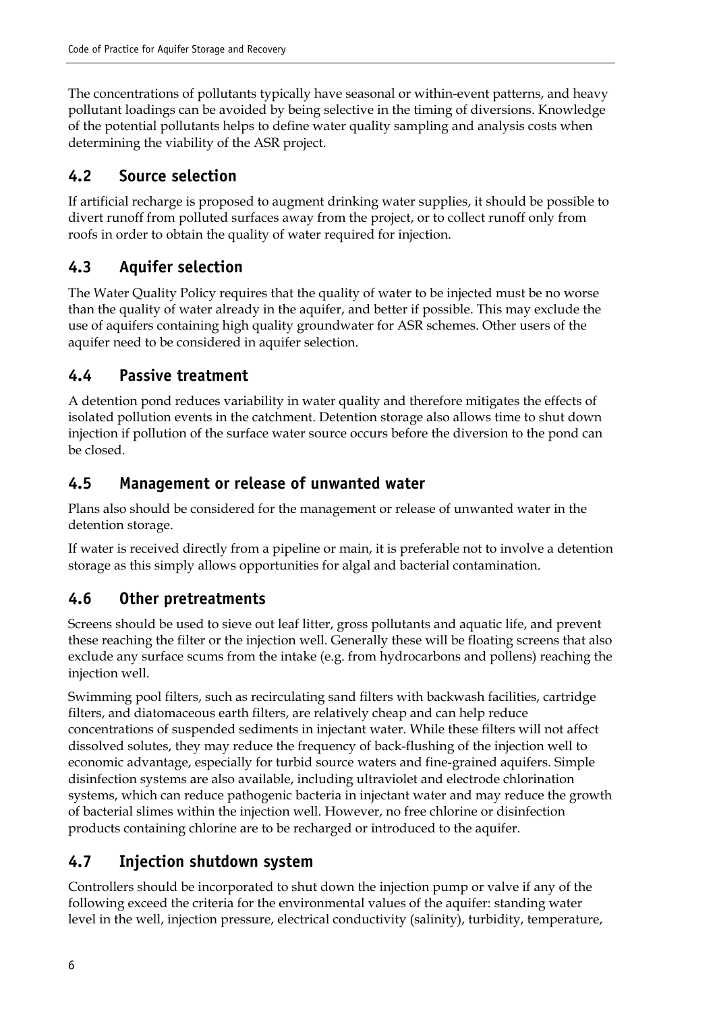The concentrations of pollutants typically have seasonal or within-event patterns, and heavy pollutant loadings can be avoided by being selective in the timing of diversions. Knowledge of the potential pollutants helps to define water quality sampling and analysis costs when determining the viability of the ASR project.

## <span id="page-12-0"></span>**4.2 Source selection**

If artificial recharge is proposed to augment drinking water supplies, it should be possible to divert runoff from polluted surfaces away from the project, or to collect runoff only from roofs in order to obtain the quality of water required for injection.

# <span id="page-12-1"></span>**4.3 Aquifer selection**

The Water Quality Policy requires that the quality of water to be injected must be no worse than the quality of water already in the aquifer, and better if possible. This may exclude the use of aquifers containing high quality groundwater for ASR schemes. Other users of the aquifer need to be considered in aquifer selection.

## <span id="page-12-2"></span>**4.4 Passive treatment**

A detention pond reduces variability in water quality and therefore mitigates the effects of isolated pollution events in the catchment. Detention storage also allows time to shut down injection if pollution of the surface water source occurs before the diversion to the pond can be closed.

## <span id="page-12-3"></span>**4.5 Management or release of unwanted water**

Plans also should be considered for the management or release of unwanted water in the detention storage.

If water is received directly from a pipeline or main, it is preferable not to involve a detention storage as this simply allows opportunities for algal and bacterial contamination.

## <span id="page-12-4"></span>**4.6 Other pretreatments**

Screens should be used to sieve out leaf litter, gross pollutants and aquatic life, and prevent these reaching the filter or the injection well. Generally these will be floating screens that also exclude any surface scums from the intake (e.g. from hydrocarbons and pollens) reaching the injection well.

Swimming pool filters, such as recirculating sand filters with backwash facilities, cartridge filters, and diatomaceous earth filters, are relatively cheap and can help reduce concentrations of suspended sediments in injectant water. While these filters will not affect dissolved solutes, they may reduce the frequency of back-flushing of the injection well to economic advantage, especially for turbid source waters and fine-grained aquifers. Simple disinfection systems are also available, including ultraviolet and electrode chlorination systems, which can reduce pathogenic bacteria in injectant water and may reduce the growth of bacterial slimes within the injection well. However, no free chlorine or disinfection products containing chlorine are to be recharged or introduced to the aquifer.

## <span id="page-12-5"></span>**4.7 Injection shutdown system**

Controllers should be incorporated to shut down the injection pump or valve if any of the following exceed the criteria for the environmental values of the aquifer: standing water level in the well, injection pressure, electrical conductivity (salinity), turbidity, temperature,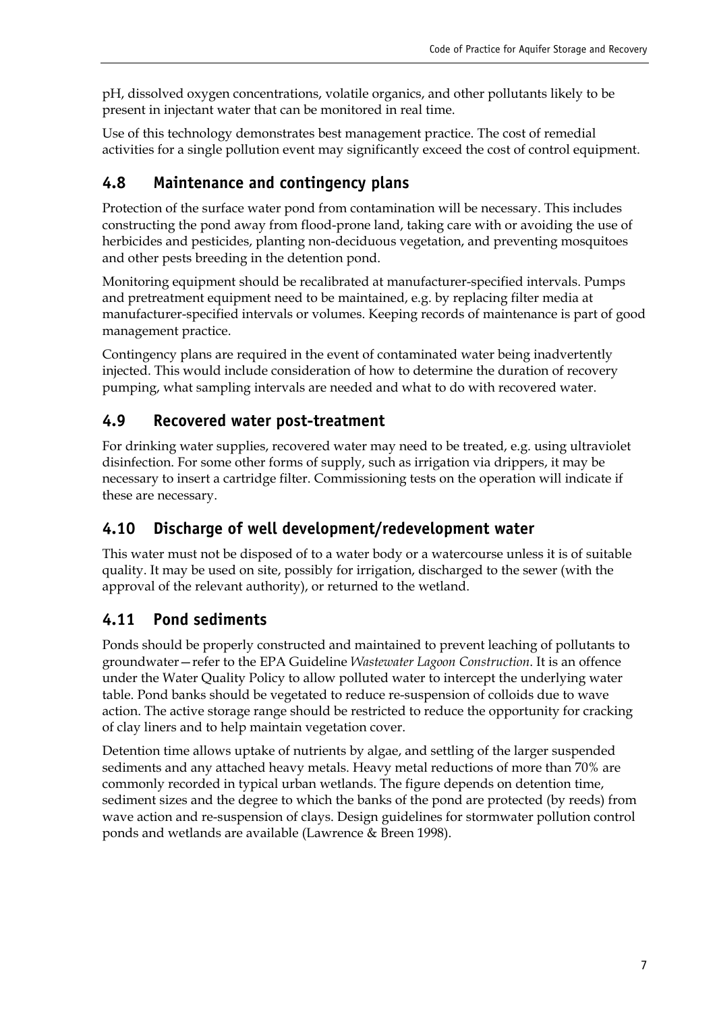pH, dissolved oxygen concentrations, volatile organics, and other pollutants likely to be present in injectant water that can be monitored in real time.

Use of this technology demonstrates best management practice. The cost of remedial activities for a single pollution event may significantly exceed the cost of control equipment.

## <span id="page-13-0"></span>**4.8 Maintenance and contingency plans**

Protection of the surface water pond from contamination will be necessary. This includes constructing the pond away from flood-prone land, taking care with or avoiding the use of herbicides and pesticides, planting non-deciduous vegetation, and preventing mosquitoes and other pests breeding in the detention pond.

Monitoring equipment should be recalibrated at manufacturer-specified intervals. Pumps and pretreatment equipment need to be maintained, e.g. by replacing filter media at manufacturer-specified intervals or volumes. Keeping records of maintenance is part of good management practice.

Contingency plans are required in the event of contaminated water being inadvertently injected. This would include consideration of how to determine the duration of recovery pumping, what sampling intervals are needed and what to do with recovered water.

# <span id="page-13-1"></span>**4.9 Recovered water post-treatment**

For drinking water supplies, recovered water may need to be treated, e.g. using ultraviolet disinfection. For some other forms of supply, such as irrigation via drippers, it may be necessary to insert a cartridge filter. Commissioning tests on the operation will indicate if these are necessary.

## <span id="page-13-2"></span>**4.10 Discharge of well development/redevelopment water**

This water must not be disposed of to a water body or a watercourse unless it is of suitable quality. It may be used on site, possibly for irrigation, discharged to the sewer (with the approval of the relevant authority), or returned to the wetland.

# <span id="page-13-3"></span>**4.11 Pond sediments**

Ponds should be properly constructed and maintained to prevent leaching of pollutants to groundwater - refer to the EPA Guideline *Wastewater Lagoon Construction*. It is an offence under the Water Quality Policy to allow polluted water to intercept the underlying water table. Pond banks should be vegetated to reduce re-suspension of colloids due to wave action. The active storage range should be restricted to reduce the opportunity for cracking of clay liners and to help maintain vegetation cover.

Detention time allows uptake of nutrients by algae, and settling of the larger suspended sediments and any attached heavy metals. Heavy metal reductions of more than 70% are commonly recorded in typical urban wetlands. The figure depends on detention time, sediment sizes and the degree to which the banks of the pond are protected (by reeds) from wave action and re-suspension of clays. Design guidelines for stormwater pollution control ponds and wetlands are available (Lawrence & Breen 1998).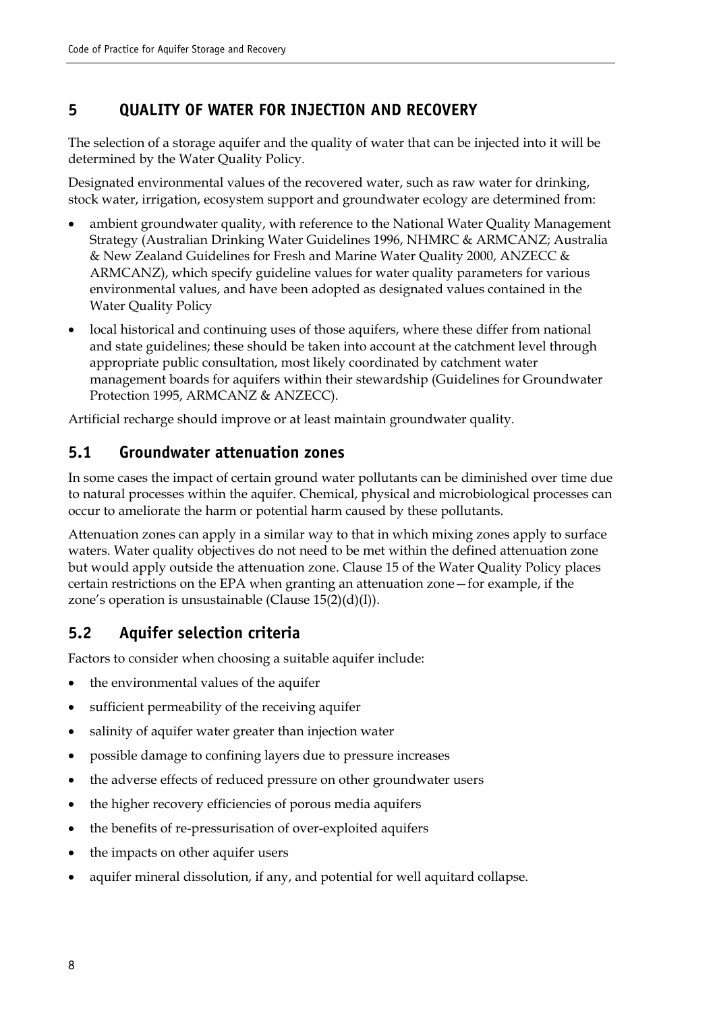### <span id="page-14-0"></span>**5 QUALITY OF WATER FOR INJECTION AND RECOVERY**

The selection of a storage aquifer and the quality of water that can be injected into it will be determined by the Water Quality Policy.

Designated environmental values of the recovered water, such as raw water for drinking, stock water, irrigation, ecosystem support and groundwater ecology are determined from:

- ambient groundwater quality, with reference to the National Water Quality Management Strategy (Australian Drinking Water Guidelines 1996, NHMRC & ARMCANZ; Australia & New Zealand Guidelines for Fresh and Marine Water Quality 2000, ANZECC & ARMCANZ), which specify guideline values for water quality parameters for various environmental values, and have been adopted as designated values contained in the Water Quality Policy
- local historical and continuing uses of those aquifers, where these differ from national and state guidelines; these should be taken into account at the catchment level through appropriate public consultation, most likely coordinated by catchment water management boards for aquifers within their stewardship (Guidelines for Groundwater Protection 1995, ARMCANZ & ANZECC).

Artificial recharge should improve or at least maintain groundwater quality.

#### <span id="page-14-1"></span>**5.1 Groundwater attenuation zones**

In some cases the impact of certain ground water pollutants can be diminished over time due to natural processes within the aquifer. Chemical, physical and microbiological processes can occur to ameliorate the harm or potential harm caused by these pollutants.

Attenuation zones can apply in a similar way to that in which mixing zones apply to surface waters. Water quality objectives do not need to be met within the defined attenuation zone but would apply outside the attenuation zone. Clause 15 of the Water Quality Policy places certain restrictions on the EPA when granting an attenuation zone - for example, if the zone's operation is unsustainable (Clause  $15(2)(d)(I)$ ).

### <span id="page-14-2"></span>**5.2 Aquifer selection criteria**

Factors to consider when choosing a suitable aquifer include:

- the environmental values of the aquifer
- sufficient permeability of the receiving aquifer
- salinity of aquifer water greater than injection water
- possible damage to confining layers due to pressure increases
- the adverse effects of reduced pressure on other groundwater users
- the higher recovery efficiencies of porous media aquifers
- the benefits of re-pressurisation of over-exploited aquifers
- the impacts on other aquifer users
- aquifer mineral dissolution, if any, and potential for well aquitard collapse.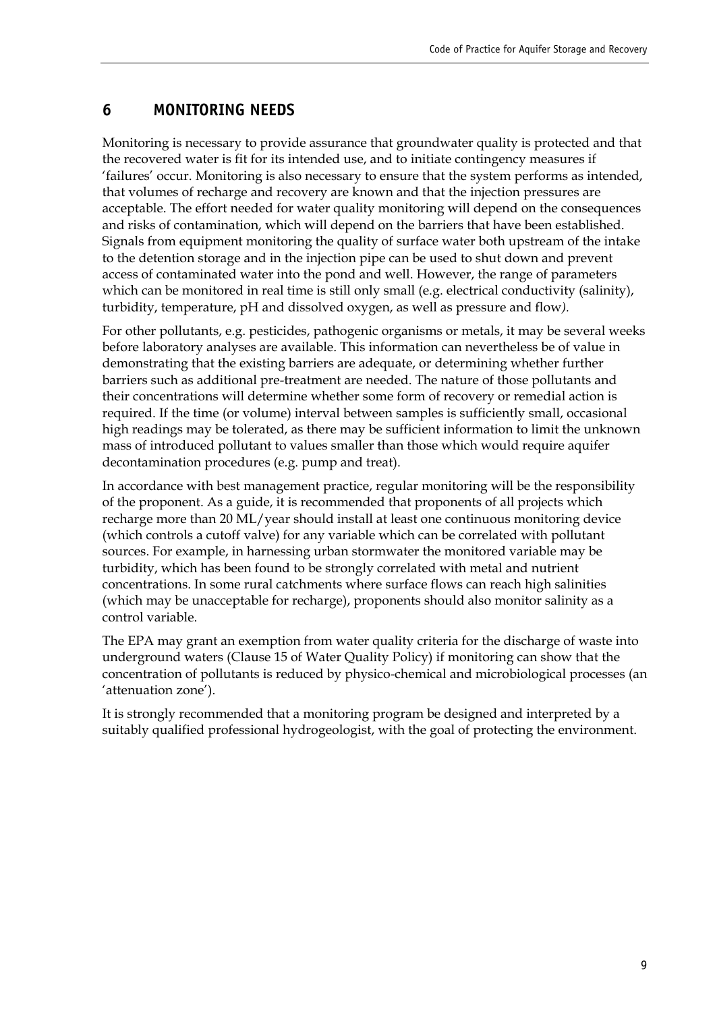#### <span id="page-15-0"></span>**6 MONITORING NEEDS**

Monitoring is necessary to provide assurance that groundwater quality is protected and that the recovered water is fit for its intended use, and to initiate contingency measures if 'failures' occur. Monitoring is also necessary to ensure that the system performs as intended, that volumes of recharge and recovery are known and that the injection pressures are acceptable. The effort needed for water quality monitoring will depend on the consequences and risks of contamination, which will depend on the barriers that have been established. Signals from equipment monitoring the quality of surface water both upstream of the intake to the detention storage and in the injection pipe can be used to shut down and prevent access of contaminated water into the pond and well. However, the range of parameters which can be monitored in real time is still only small (e.g. electrical conductivity (salinity), turbidity, temperature, pH and dissolved oxygen, as well as pressure and flow*).* 

For other pollutants, e.g. pesticides, pathogenic organisms or metals, it may be several weeks before laboratory analyses are available. This information can nevertheless be of value in demonstrating that the existing barriers are adequate, or determining whether further barriers such as additional pre-treatment are needed. The nature of those pollutants and their concentrations will determine whether some form of recovery or remedial action is required. If the time (or volume) interval between samples is sufficiently small, occasional high readings may be tolerated, as there may be sufficient information to limit the unknown mass of introduced pollutant to values smaller than those which would require aquifer decontamination procedures (e.g. pump and treat).

In accordance with best management practice, regular monitoring will be the responsibility of the proponent. As a guide, it is recommended that proponents of all projects which recharge more than 20 ML/year should install at least one continuous monitoring device (which controls a cutoff valve) for any variable which can be correlated with pollutant sources. For example, in harnessing urban stormwater the monitored variable may be turbidity, which has been found to be strongly correlated with metal and nutrient concentrations. In some rural catchments where surface flows can reach high salinities (which may be unacceptable for recharge), proponents should also monitor salinity as a control variable.

The EPA may grant an exemption from water quality criteria for the discharge of waste into underground waters (Clause 15 of Water Quality Policy) if monitoring can show that the concentration of pollutants is reduced by physico-chemical and microbiological processes (an 'attenuation zone').

It is strongly recommended that a monitoring program be designed and interpreted by a suitably qualified professional hydrogeologist, with the goal of protecting the environment.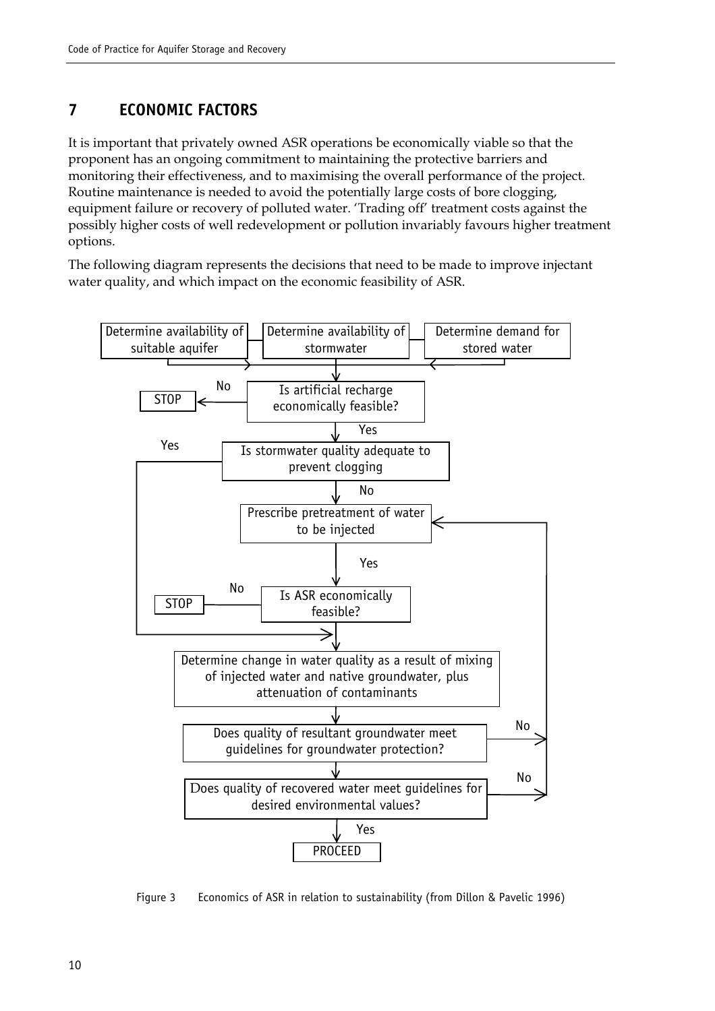#### <span id="page-16-0"></span>**7 ECONOMIC FACTORS**

It is important that privately owned ASR operations be economically viable so that the proponent has an ongoing commitment to maintaining the protective barriers and monitoring their effectiveness, and to maximising the overall performance of the project. Routine maintenance is needed to avoid the potentially large costs of bore clogging, equipment failure or recovery of polluted water. 'Trading off' treatment costs against the possibly higher costs of well redevelopment or pollution invariably favours higher treatment options.

The following diagram represents the decisions that need to be made to improve injectant water quality, and which impact on the economic feasibility of ASR.

<span id="page-16-1"></span>

Figure 3 Economics of ASR in relation to sustainability (from Dillon & Pavelic 1996)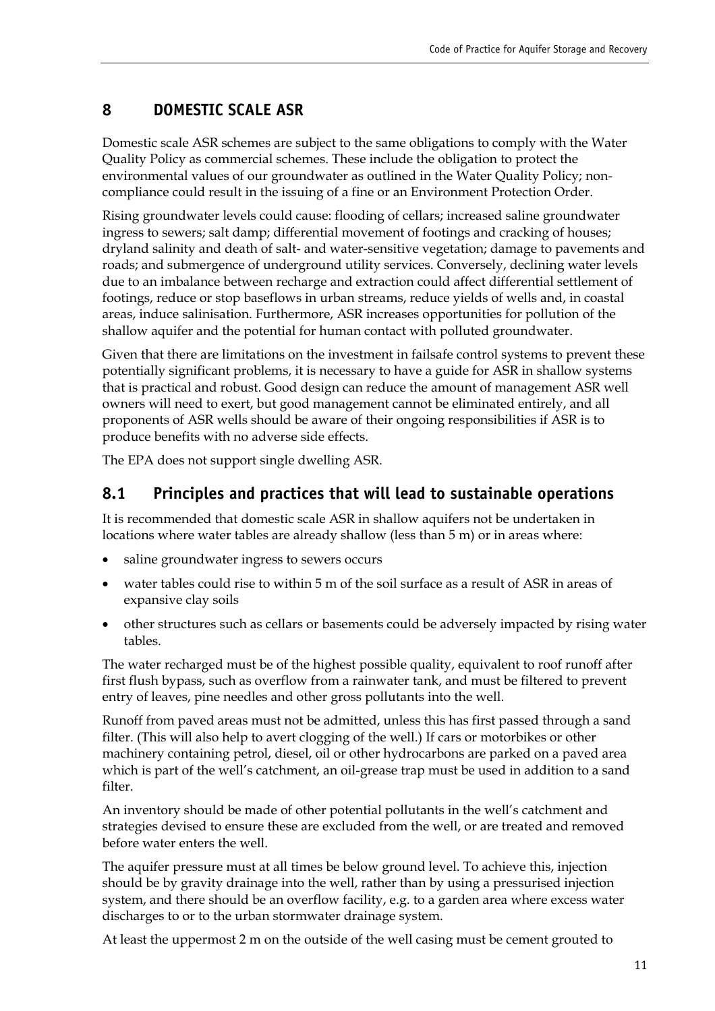## <span id="page-17-0"></span>**8 DOMESTIC SCALE ASR**

Domestic scale ASR schemes are subject to the same obligations to comply with the Water Quality Policy as commercial schemes. These include the obligation to protect the environmental values of our groundwater as outlined in the Water Quality Policy; noncompliance could result in the issuing of a fine or an Environment Protection Order.

Rising groundwater levels could cause: flooding of cellars; increased saline groundwater ingress to sewers; salt damp; differential movement of footings and cracking of houses; dryland salinity and death of salt- and water-sensitive vegetation; damage to pavements and roads; and submergence of underground utility services. Conversely, declining water levels due to an imbalance between recharge and extraction could affect differential settlement of footings, reduce or stop baseflows in urban streams, reduce yields of wells and, in coastal areas, induce salinisation. Furthermore, ASR increases opportunities for pollution of the shallow aquifer and the potential for human contact with polluted groundwater.

Given that there are limitations on the investment in failsafe control systems to prevent these potentially significant problems, it is necessary to have a guide for ASR in shallow systems that is practical and robust. Good design can reduce the amount of management ASR well owners will need to exert, but good management cannot be eliminated entirely, and all proponents of ASR wells should be aware of their ongoing responsibilities if ASR is to produce benefits with no adverse side effects.

The EPA does not support single dwelling ASR.

#### <span id="page-17-1"></span>**8.1 Principles and practices that will lead to sustainable operations**

It is recommended that domestic scale ASR in shallow aquifers not be undertaken in locations where water tables are already shallow (less than 5 m) or in areas where:

- saline groundwater ingress to sewers occurs
- water tables could rise to within 5 m of the soil surface as a result of ASR in areas of expansive clay soils
- other structures such as cellars or basements could be adversely impacted by rising water tables.

The water recharged must be of the highest possible quality, equivalent to roof runoff after first flush bypass, such as overflow from a rainwater tank, and must be filtered to prevent entry of leaves, pine needles and other gross pollutants into the well.

Runoff from paved areas must not be admitted, unless this has first passed through a sand filter. (This will also help to avert clogging of the well.) If cars or motorbikes or other machinery containing petrol, diesel, oil or other hydrocarbons are parked on a paved area which is part of the well's catchment, an oil-grease trap must be used in addition to a sand filter

An inventory should be made of other potential pollutants in the well's catchment and strategies devised to ensure these are excluded from the well, or are treated and removed before water enters the well.

The aquifer pressure must at all times be below ground level. To achieve this, injection should be by gravity drainage into the well, rather than by using a pressurised injection system, and there should be an overflow facility, e.g. to a garden area where excess water discharges to or to the urban stormwater drainage system.

At least the uppermost 2 m on the outside of the well casing must be cement grouted to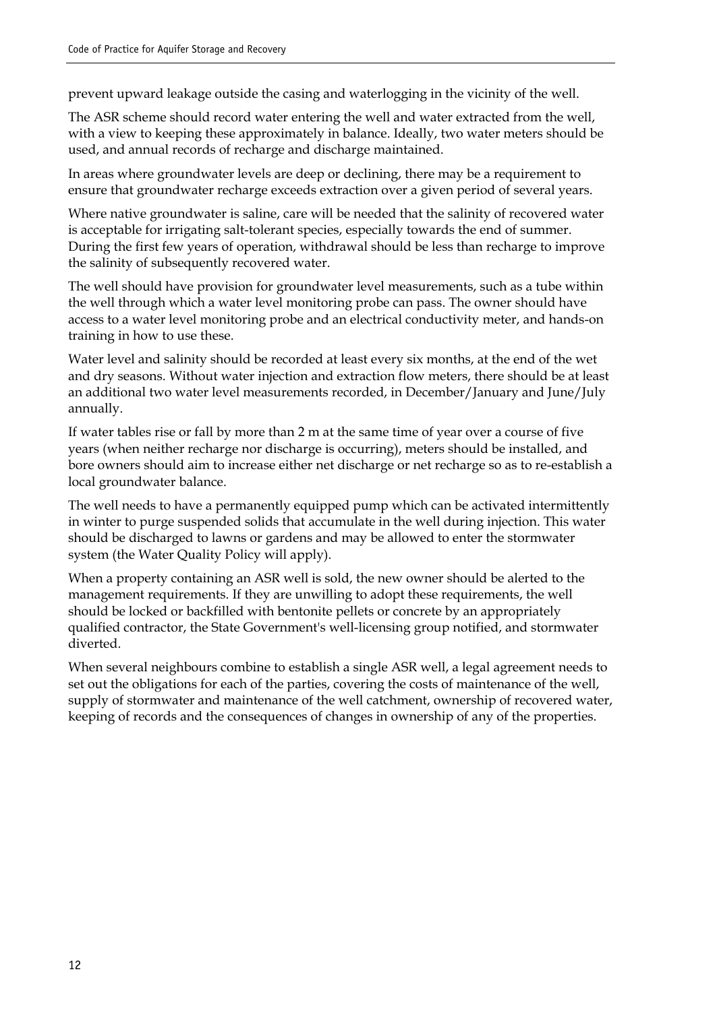prevent upward leakage outside the casing and waterlogging in the vicinity of the well.

The ASR scheme should record water entering the well and water extracted from the well, with a view to keeping these approximately in balance. Ideally, two water meters should be used, and annual records of recharge and discharge maintained.

In areas where groundwater levels are deep or declining, there may be a requirement to ensure that groundwater recharge exceeds extraction over a given period of several years.

Where native groundwater is saline, care will be needed that the salinity of recovered water is acceptable for irrigating salt-tolerant species, especially towards the end of summer. During the first few years of operation, withdrawal should be less than recharge to improve the salinity of subsequently recovered water.

The well should have provision for groundwater level measurements, such as a tube within the well through which a water level monitoring probe can pass. The owner should have access to a water level monitoring probe and an electrical conductivity meter, and hands-on training in how to use these.

Water level and salinity should be recorded at least every six months, at the end of the wet and dry seasons. Without water injection and extraction flow meters, there should be at least an additional two water level measurements recorded, in December/January and June/July annually.

If water tables rise or fall by more than 2 m at the same time of year over a course of five years (when neither recharge nor discharge is occurring), meters should be installed, and bore owners should aim to increase either net discharge or net recharge so as to re-establish a local groundwater balance.

The well needs to have a permanently equipped pump which can be activated intermittently in winter to purge suspended solids that accumulate in the well during injection. This water should be discharged to lawns or gardens and may be allowed to enter the stormwater system (the Water Quality Policy will apply).

When a property containing an ASR well is sold, the new owner should be alerted to the management requirements. If they are unwilling to adopt these requirements, the well should be locked or backfilled with bentonite pellets or concrete by an appropriately qualified contractor, the State Government's well-licensing group notified, and stormwater diverted.

When several neighbours combine to establish a single ASR well, a legal agreement needs to set out the obligations for each of the parties, covering the costs of maintenance of the well, supply of stormwater and maintenance of the well catchment, ownership of recovered water, keeping of records and the consequences of changes in ownership of any of the properties.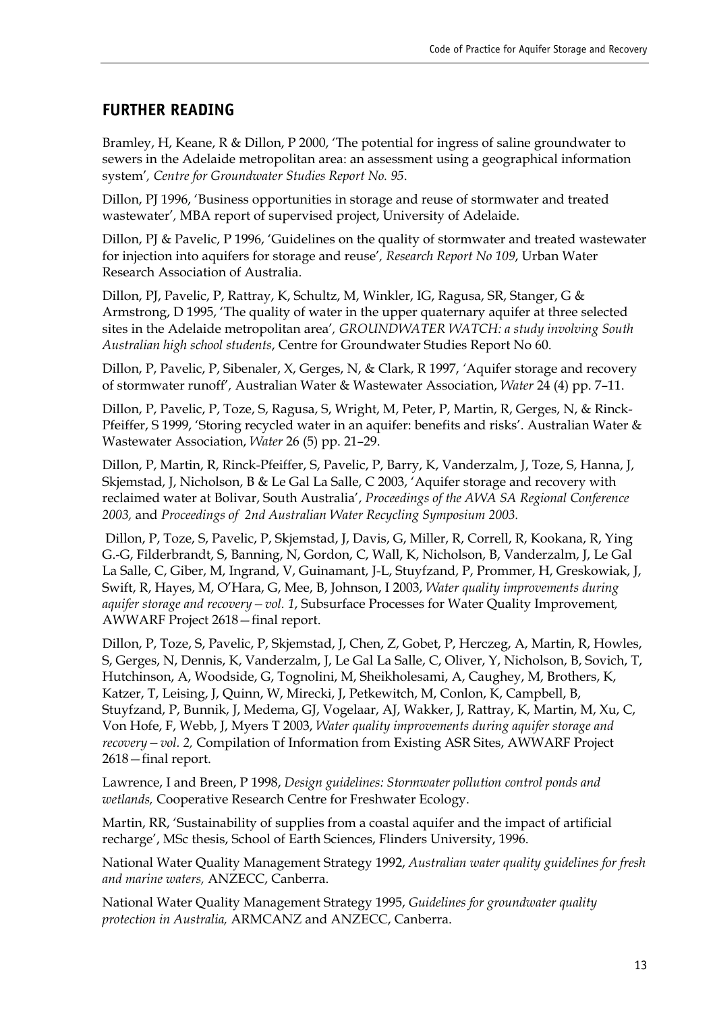#### <span id="page-19-0"></span>**FURTHER READING**

Bramley, H, Keane, R & Dillon, P 2000, 'The potential for ingress of saline groundwater to sewers in the Adelaide metropolitan area: an assessment using a geographical information system', Centre for Groundwater Studies Report No. 95.

Dillon, PJ 1996, 'Business opportunities in storage and reuse of stormwater and treated wastewater', MBA report of supervised project, University of Adelaide.

Dillon, PJ & Pavelic, P 1996, 'Guidelines on the quality of stormwater and treated wastewater for injection into aquifers for storage and reuse', Research Report No 109, Urban Water Research Association of Australia.

Dillon, PJ, Pavelic, P, Rattray, K, Schultz, M, Winkler, IG, Ragusa, SR, Stanger, G & Armstrong,  $D$  1995,  $\dot{T}$ he quality of water in the upper quaternary aquifer at three selected sites in the Adelaide metropolitan area<sup>'</sup>, GROUNDWATER WATCH: a study involving South *Australian high school students*, Centre for Groundwater Studies Report No 60.

Dillon, P, Pavelic, P, Sibenaler, X, Gerges, N, & Clark, R 1997, 'Aquifer storage and recovery of stormwater runoff<sup>'</sup>, Australian Water & Wastewater Association, *Water* 24 (4) pp. 7-11.

Dillon, P, Pavelic, P, Toze, S, Ragusa, S, Wright, M, Peter, P, Martin, R, Gerges, N, & Rinck-Pfeiffer, S 1999, 'Storing recycled water in an aquifer: benefits and risks'. Australian Water & Wastewater Association, *Water* 26 (5) pp. 21-29.

Dillon, P, Martin, R, Rinck-Pfeiffer, S, Pavelic, P, Barry, K, Vanderzalm, J, Toze, S, Hanna, J, Skjemstad, J, Nicholson, B & Le Gal La Salle, C 2003, 'Aquifer storage and recovery with reclaimed water at Bolivar, South Australia', Proceedings of the AWA SA Regional Conference *2003,* and *Proceedings of 2nd Australian Water Recycling Symposium 2003.*

 Dillon, P, Toze, S, Pavelic, P, Skjemstad, J, Davis, G, Miller, R, Correll, R, Kookana, R, Ying G.-G, Filderbrandt, S, Banning, N, Gordon, C, Wall, K, Nicholson, B, Vanderzalm, J, Le Gal La Salle, C, Giber, M, Ingrand, V, Guinamant, J-L, Stuyfzand, P, Prommer, H, Greskowiak, J, Swift, R, Hayes, M, O'Hara, G, Mee, B, Johnson, I 2003, *Water quality improvements during aquifer storage and recovery* - vol. 1, Subsurface Processes for Water Quality Improvement, AWWARF Project 2618 - final report.

Dillon, P, Toze, S, Pavelic, P, Skjemstad, J, Chen, Z, Gobet, P, Herczeg, A, Martin, R, Howles, S, Gerges, N, Dennis, K, Vanderzalm, J, Le Gal La Salle, C, Oliver, Y, Nicholson, B, Sovich, T, Hutchinson, A, Woodside, G, Tognolini, M, Sheikholesami, A, Caughey, M, Brothers, K, Katzer, T, Leising, J, Quinn, W, Mirecki, J, Petkewitch, M, Conlon, K, Campbell, B, Stuyfzand, P, Bunnik, J, Medema, GJ, Vogelaar, AJ, Wakker, J, Rattray, K, Martin, M, Xu, C, Von Hofe, F, Webb, J, Myers T 2003, *Water quality improvements during aquifer storage and recovery* – vol. 2, Compilation of Information from Existing ASR Sites, AWWARF Project  $2618$  – final report.

Lawrence, I and Breen, P 1998, *Design guidelines: Stormwater pollution control ponds and wetlands,* Cooperative Research Centre for Freshwater Ecology.

Martin, RR, 'Sustainability of supplies from a coastal aquifer and the impact of artificial recharge', MSc thesis, School of Earth Sciences, Flinders University, 1996.

National Water Quality Management Strategy 1992, *Australian water quality guidelines for fresh and marine waters,* ANZECC, Canberra.

National Water Quality Management Strategy 1995, *Guidelines for groundwater quality protection in Australia,* ARMCANZ and ANZECC, Canberra.